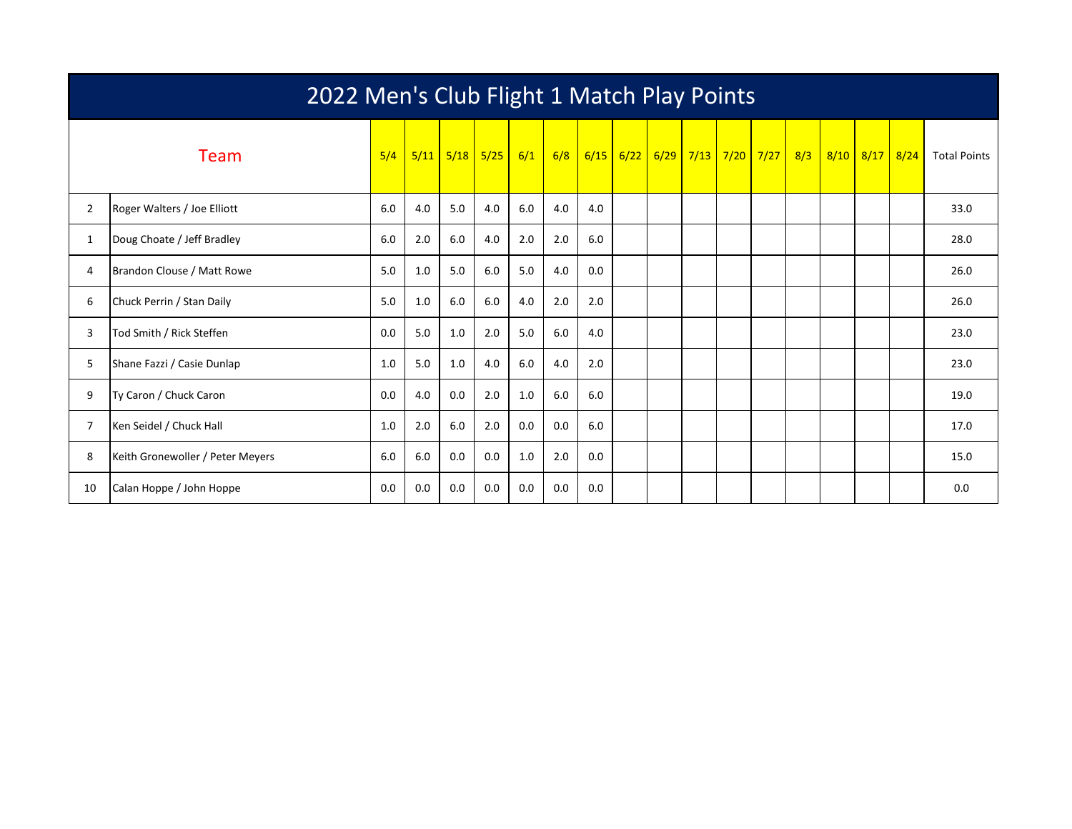|                | 2022 Men's Club Flight 1 Match Play Points |     |     |             |      |     |     |     |             |  |  |  |                         |  |                |                     |
|----------------|--------------------------------------------|-----|-----|-------------|------|-----|-----|-----|-------------|--|--|--|-------------------------|--|----------------|---------------------|
|                | Team                                       | 5/4 |     | $5/11$ 5/18 | 5/25 | 6/1 | 6/8 |     | $6/15$ 6/22 |  |  |  | 6/29 7/13 7/20 7/27 8/3 |  | 8/10 8/17 8/24 | <b>Total Points</b> |
| $\overline{2}$ | Roger Walters / Joe Elliott                | 6.0 | 4.0 | 5.0         | 4.0  | 6.0 | 4.0 | 4.0 |             |  |  |  |                         |  |                | 33.0                |
| 1              | Doug Choate / Jeff Bradley                 | 6.0 | 2.0 | 6.0         | 4.0  | 2.0 | 2.0 | 6.0 |             |  |  |  |                         |  |                | 28.0                |
| 4              | Brandon Clouse / Matt Rowe                 | 5.0 | 1.0 | 5.0         | 6.0  | 5.0 | 4.0 | 0.0 |             |  |  |  |                         |  |                | 26.0                |
| 6              | Chuck Perrin / Stan Daily                  | 5.0 | 1.0 | 6.0         | 6.0  | 4.0 | 2.0 | 2.0 |             |  |  |  |                         |  |                | 26.0                |
| 3              | Tod Smith / Rick Steffen                   | 0.0 | 5.0 | 1.0         | 2.0  | 5.0 | 6.0 | 4.0 |             |  |  |  |                         |  |                | 23.0                |
| 5              | Shane Fazzi / Casie Dunlap                 | 1.0 | 5.0 | 1.0         | 4.0  | 6.0 | 4.0 | 2.0 |             |  |  |  |                         |  |                | 23.0                |
| 9              | Ty Caron / Chuck Caron                     | 0.0 | 4.0 | 0.0         | 2.0  | 1.0 | 6.0 | 6.0 |             |  |  |  |                         |  |                | 19.0                |
| 7              | Ken Seidel / Chuck Hall                    | 1.0 | 2.0 | 6.0         | 2.0  | 0.0 | 0.0 | 6.0 |             |  |  |  |                         |  |                | 17.0                |
| 8              | Keith Gronewoller / Peter Meyers           | 6.0 | 6.0 | 0.0         | 0.0  | 1.0 | 2.0 | 0.0 |             |  |  |  |                         |  |                | 15.0                |
| 10             | Calan Hoppe / John Hoppe                   | 0.0 | 0.0 | 0.0         | 0.0  | 0.0 | 0.0 | 0.0 |             |  |  |  |                         |  |                | 0.0                 |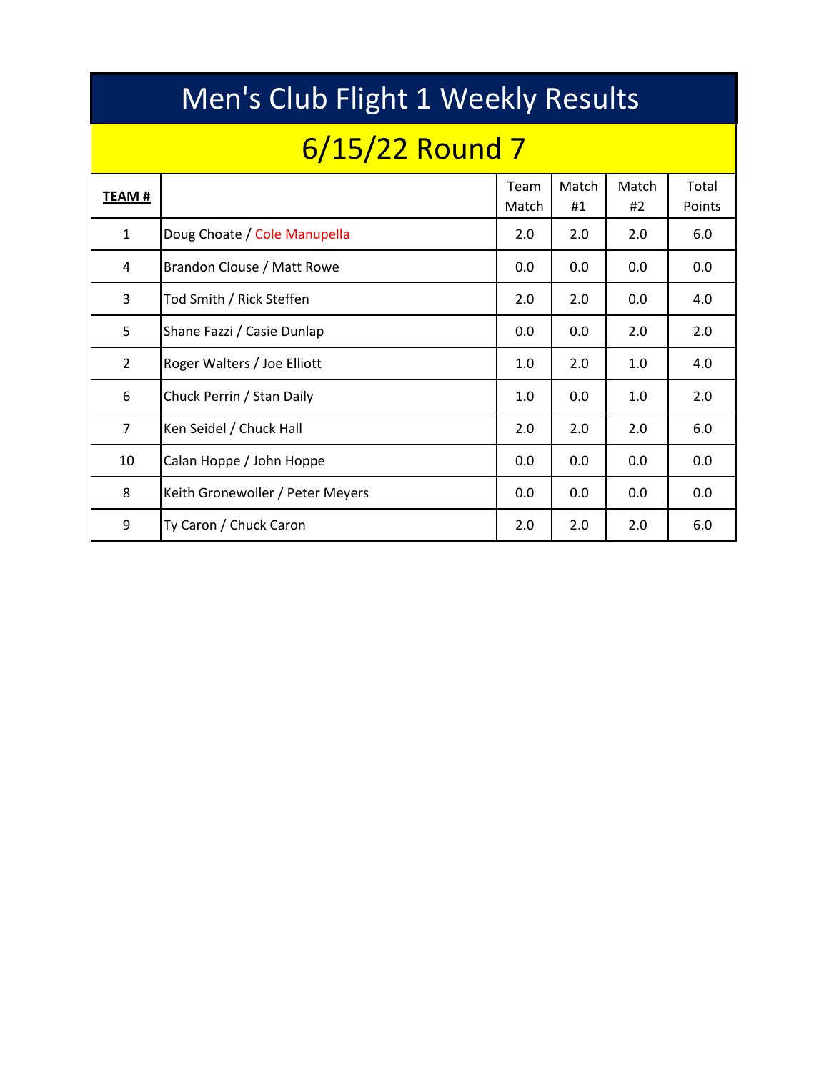|                | Men's Club Flight 1 Weekly Results |               |             |             |                 |  |  |  |  |  |  |  |  |  |
|----------------|------------------------------------|---------------|-------------|-------------|-----------------|--|--|--|--|--|--|--|--|--|
|                | 6/15/22 Round 7                    |               |             |             |                 |  |  |  |  |  |  |  |  |  |
| TEAM #         |                                    | Team<br>Match | Match<br>#1 | Match<br>#2 | Total<br>Points |  |  |  |  |  |  |  |  |  |
| $\mathbf{1}$   | Doug Choate / Cole Manupella       | 2.0           | 2.0         | 2.0         | 6.0             |  |  |  |  |  |  |  |  |  |
| 4              | Brandon Clouse / Matt Rowe         | 0.0           | 0.0         | 0.0         | 0.0             |  |  |  |  |  |  |  |  |  |
| 3              | Tod Smith / Rick Steffen           | 2.0           | 2.0         | 0.0         | 4.0             |  |  |  |  |  |  |  |  |  |
| 5              | Shane Fazzi / Casie Dunlap         | 0.0           | 0.0         | 2.0         | 2.0             |  |  |  |  |  |  |  |  |  |
| $\overline{2}$ | Roger Walters / Joe Elliott        | 1.0           | 2.0         | 1.0         | 4.0             |  |  |  |  |  |  |  |  |  |
| 6              | Chuck Perrin / Stan Daily          | 1.0           | 0.0         | 1.0         | 2.0             |  |  |  |  |  |  |  |  |  |
| $\overline{7}$ | Ken Seidel / Chuck Hall            | 2.0           | 2.0         | 2.0         | 6.0             |  |  |  |  |  |  |  |  |  |
| 10             | Calan Hoppe / John Hoppe           | 0.0           | 0.0         | 0.0         | 0.0             |  |  |  |  |  |  |  |  |  |
| 8              | Keith Gronewoller / Peter Meyers   | 0.0           | 0.0         | 0.0         | 0.0             |  |  |  |  |  |  |  |  |  |
| 9              | Ty Caron / Chuck Caron             | 2.0           | 2.0         | 2.0         | 6.0             |  |  |  |  |  |  |  |  |  |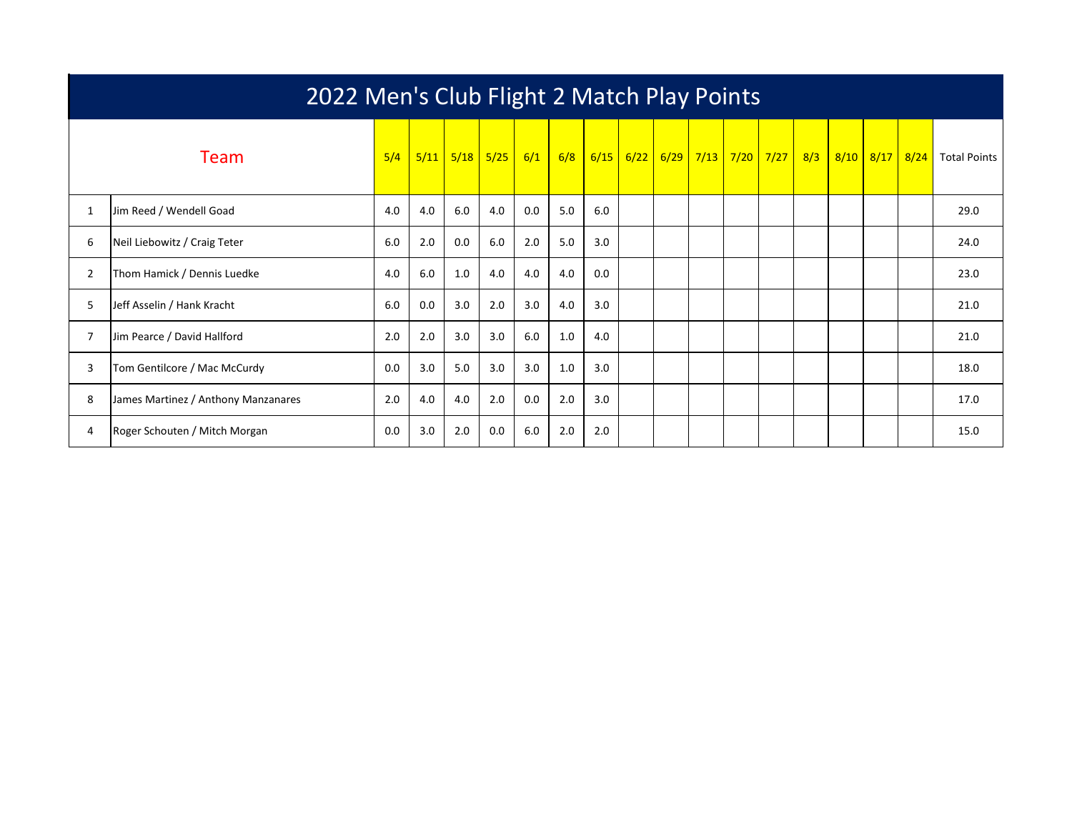|              | 2022 Men's Club Flight 2 Match Play Points |     |      |     |             |     |     |      |      |  |  |                     |  |     |      |      |      |                     |
|--------------|--------------------------------------------|-----|------|-----|-------------|-----|-----|------|------|--|--|---------------------|--|-----|------|------|------|---------------------|
| <b>Team</b>  |                                            | 5/4 | 5/11 |     | $5/18$ 5/25 | 6/1 | 6/8 | 6/15 | 6/22 |  |  | 6/29 7/13 7/20 7/27 |  | 8/3 | 8/10 | 8/17 | 8/24 | <b>Total Points</b> |
| $\mathbf{1}$ | Jim Reed / Wendell Goad                    | 4.0 | 4.0  | 6.0 | 4.0         | 0.0 | 5.0 | 6.0  |      |  |  |                     |  |     |      |      |      | 29.0                |
| 6            | Neil Liebowitz / Craig Teter               | 6.0 | 2.0  | 0.0 | 6.0         | 2.0 | 5.0 | 3.0  |      |  |  |                     |  |     |      |      |      | 24.0                |
| 2            | Thom Hamick / Dennis Luedke                | 4.0 | 6.0  | 1.0 | 4.0         | 4.0 | 4.0 | 0.0  |      |  |  |                     |  |     |      |      |      | 23.0                |
| 5.           | Jeff Asselin / Hank Kracht                 | 6.0 | 0.0  | 3.0 | 2.0         | 3.0 | 4.0 | 3.0  |      |  |  |                     |  |     |      |      |      | 21.0                |
|              | Jim Pearce / David Hallford                | 2.0 | 2.0  | 3.0 | 3.0         | 6.0 | 1.0 | 4.0  |      |  |  |                     |  |     |      |      |      | 21.0                |
| 3            | Tom Gentilcore / Mac McCurdy               | 0.0 | 3.0  | 5.0 | 3.0         | 3.0 | 1.0 | 3.0  |      |  |  |                     |  |     |      |      |      | 18.0                |
| 8            | James Martinez / Anthony Manzanares        | 2.0 | 4.0  | 4.0 | 2.0         | 0.0 | 2.0 | 3.0  |      |  |  |                     |  |     |      |      |      | 17.0                |
| 4            | Roger Schouten / Mitch Morgan              | 0.0 | 3.0  | 2.0 | 0.0         | 6.0 | 2.0 | 2.0  |      |  |  |                     |  |     |      |      |      | 15.0                |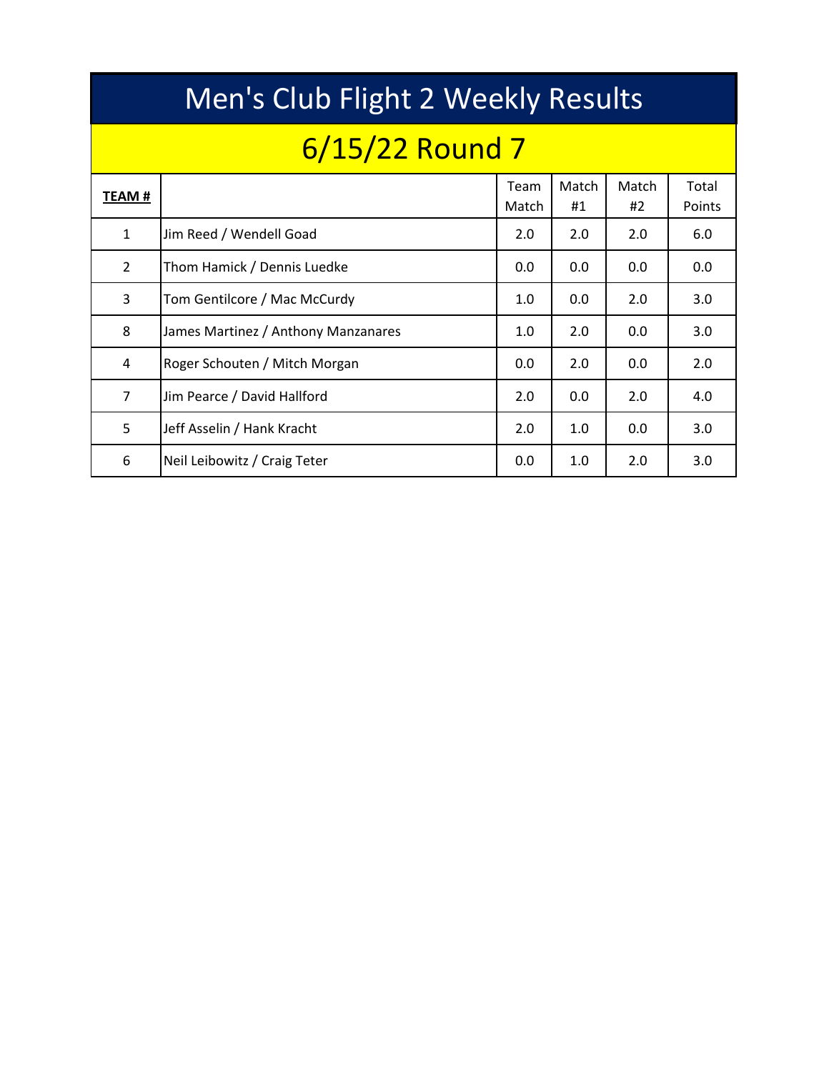|                | Men's Club Flight 2 Weekly Results  |               |             |             |                 |  |  |  |  |  |  |  |  |  |  |
|----------------|-------------------------------------|---------------|-------------|-------------|-----------------|--|--|--|--|--|--|--|--|--|--|
|                | $6/15/22$ Round 7                   |               |             |             |                 |  |  |  |  |  |  |  |  |  |  |
| TEAM #         |                                     | Team<br>Match | Match<br>#1 | Match<br>#2 | Total<br>Points |  |  |  |  |  |  |  |  |  |  |
| $\mathbf{1}$   | Jim Reed / Wendell Goad             | 2.0           | 2.0         | 2.0         | 6.0             |  |  |  |  |  |  |  |  |  |  |
| $\overline{2}$ | Thom Hamick / Dennis Luedke         | 0.0           | 0.0         | 0.0         | 0.0             |  |  |  |  |  |  |  |  |  |  |
| 3              | Tom Gentilcore / Mac McCurdy        | 1.0           | 0.0         | 2.0         | 3.0             |  |  |  |  |  |  |  |  |  |  |
| 8              | James Martinez / Anthony Manzanares | 1.0           | 2.0         | 0.0         | 3.0             |  |  |  |  |  |  |  |  |  |  |
| 4              | Roger Schouten / Mitch Morgan       | 0.0           | 2.0         | 0.0         | 2.0             |  |  |  |  |  |  |  |  |  |  |
| $\overline{7}$ | Jim Pearce / David Hallford         | 2.0           | 0.0         | 2.0         | 4.0             |  |  |  |  |  |  |  |  |  |  |
| 5              | Jeff Asselin / Hank Kracht          | 2.0           | 1.0         | 0.0         | 3.0             |  |  |  |  |  |  |  |  |  |  |
| 6              | Neil Leibowitz / Craig Teter        | 0.0           | 1.0         | 2.0         | 3.0             |  |  |  |  |  |  |  |  |  |  |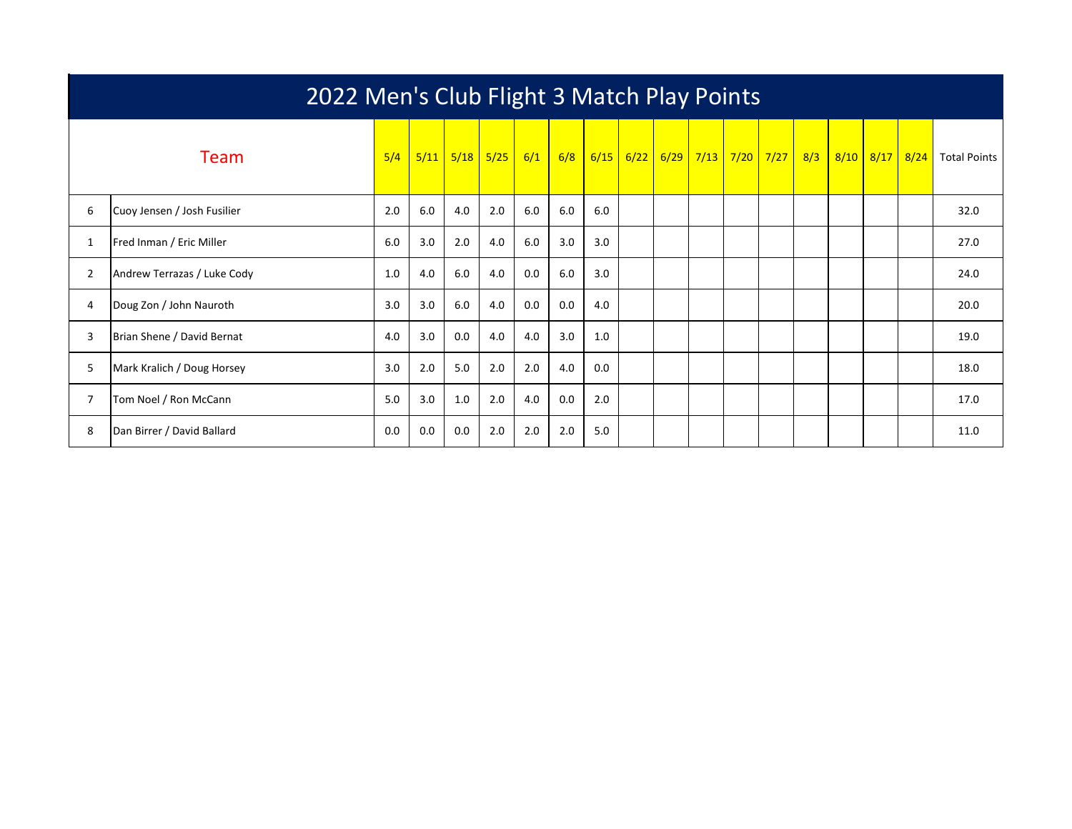|                | 2022 Men's Club Flight 3 Match Play Points |     |      |      |      |     |     |      |      |  |             |  |                        |     |      |      |      |                     |
|----------------|--------------------------------------------|-----|------|------|------|-----|-----|------|------|--|-------------|--|------------------------|-----|------|------|------|---------------------|
|                | <b>Team</b>                                | 5/4 | 5/11 | 5/18 | 5/25 | 6/1 | 6/8 | 6/15 | 6/22 |  | $6/29$ 7/13 |  | <mark>7/20 7/27</mark> | 8/3 | 8/10 | 8/17 | 8/24 | <b>Total Points</b> |
| 6              | Cuoy Jensen / Josh Fusilier                | 2.0 | 6.0  | 4.0  | 2.0  | 6.0 | 6.0 | 6.0  |      |  |             |  |                        |     |      |      |      | 32.0                |
|                | Fred Inman / Eric Miller                   | 6.0 | 3.0  | 2.0  | 4.0  | 6.0 | 3.0 | 3.0  |      |  |             |  |                        |     |      |      |      | 27.0                |
| $\overline{2}$ | Andrew Terrazas / Luke Cody                | 1.0 | 4.0  | 6.0  | 4.0  | 0.0 | 6.0 | 3.0  |      |  |             |  |                        |     |      |      |      | 24.0                |
| 4              | Doug Zon / John Nauroth                    | 3.0 | 3.0  | 6.0  | 4.0  | 0.0 | 0.0 | 4.0  |      |  |             |  |                        |     |      |      |      | 20.0                |
| 3              | Brian Shene / David Bernat                 | 4.0 | 3.0  | 0.0  | 4.0  | 4.0 | 3.0 | 1.0  |      |  |             |  |                        |     |      |      |      | 19.0                |
| 5              | Mark Kralich / Doug Horsey                 | 3.0 | 2.0  | 5.0  | 2.0  | 2.0 | 4.0 | 0.0  |      |  |             |  |                        |     |      |      |      | 18.0                |
|                | Tom Noel / Ron McCann                      | 5.0 | 3.0  | 1.0  | 2.0  | 4.0 | 0.0 | 2.0  |      |  |             |  |                        |     |      |      |      | 17.0                |
| 8              | Dan Birrer / David Ballard                 | 0.0 | 0.0  | 0.0  | 2.0  | 2.0 | 2.0 | 5.0  |      |  |             |  |                        |     |      |      |      | 11.0                |